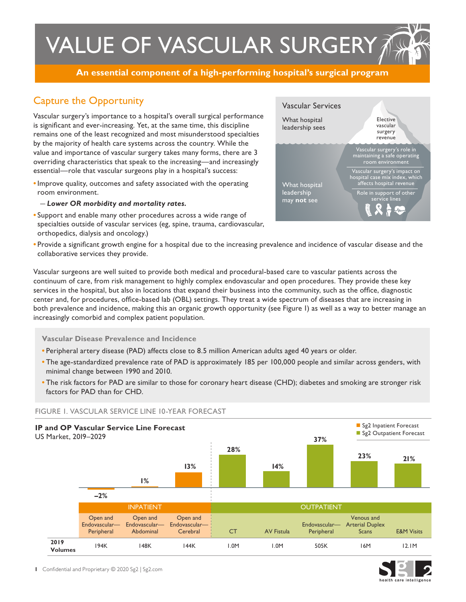# VALUE OF VASCULAR SURGERY TH

**An essential component of a high-performing hospital's surgical program**

## Capture the Opportunity

Vascular surgery's importance to a hospital's overall surgical performance is significant and ever-increasing. Yet, at the same time, this discipline remains one of the least recognized and most misunderstood specialties by the majority of health care systems across the country. While the value and importance of vascular surgery takes many forms, there are 3 overriding characteristics that speak to the increasing—and increasingly essential—role that vascular surgeons play in a hospital's success:

- **•** Improve quality, outcomes and safety associated with the operating room environment.
	- *Lower OR morbidity and mortality rates.*
- **•** Support and enable many other procedures across a wide range of specialties outside of vascular services (eg, spine, trauma, cardiovascular, orthopedics, dialysis and oncology.)



**•** Provide a significant growth engine for a hospital due to the increasing prevalence and incidence of vascular disease and the collaborative services they provide.

Vascular surgeons are well suited to provide both medical and procedural-based care to vascular patients across the continuum of care, from risk management to highly complex endovascular and open procedures. They provide these key services in the hospital, but also in locations that expand their business into the community, such as the office, diagnostic center and, for procedures, office-based lab (OBL) settings. They treat a wide spectrum of diseases that are increasing in both prevalence and incidence, making this an organic growth opportunity (see Figure 1) as well as a way to better manage an increasingly comorbid and complex patient population.

**Vascular Disease Prevalence and Incidence** 

- **•** Peripheral artery disease (PAD) affects close to 8.5 million American adults aged 40 years or older.
- **•** The age-standardized prevalence rate of PAD is approximately 185 per 100,000 people and similar across genders, with minimal change between 1990 and 2010.
- **•** The risk factors for PAD are similar to those for coronary heart disease (CHD); diabetes and smoking are stronger risk factors for PAD than for CHD.



#### FIGURE 1. VASCULAR SERVICE LINE 10-YEAR FORECAST

**1** Confidential and Proprietary © 2020 Sg2 | Sg2.com

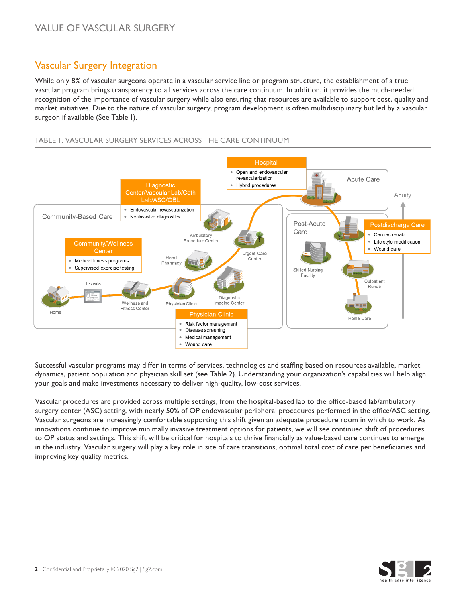## Vascular Surgery Integration

While only 8% of vascular surgeons operate in a vascular service line or program structure, the establishment of a true vascular program brings transparency to all services across the care continuum. In addition, it provides the much-needed recognition of the importance of vascular surgery while also ensuring that resources are available to support cost, quality and market initiatives. Due to the nature of vascular surgery, program development is often multidisciplinary but led by a vascular surgeon if available (See Table 1).

#### TABLE 1. VASCULAR SURGERY SERVICES ACROSS THE CARE CONTINUUM



Successful vascular programs may differ in terms of services, technologies and staffing based on resources available, market dynamics, patient population and physician skill set (see Table 2). Understanding your organization's capabilities will help align your goals and make investments necessary to deliver high-quality, low-cost services.

Vascular procedures are provided across multiple settings, from the hospital-based lab to the office-based lab/ambulatory surgery center (ASC) setting, with nearly 50% of OP endovascular peripheral procedures performed in the office/ASC setting. Vascular surgeons are increasingly comfortable supporting this shift given an adequate procedure room in which to work. As innovations continue to improve minimally invasive treatment options for patients, we will see continued shift of procedures to OP status and settings. This shift will be critical for hospitals to thrive financially as value-based care continues to emerge in the industry. Vascular surgery will play a key role in site of care transitions, optimal total cost of care per beneficiaries and improving key quality metrics.

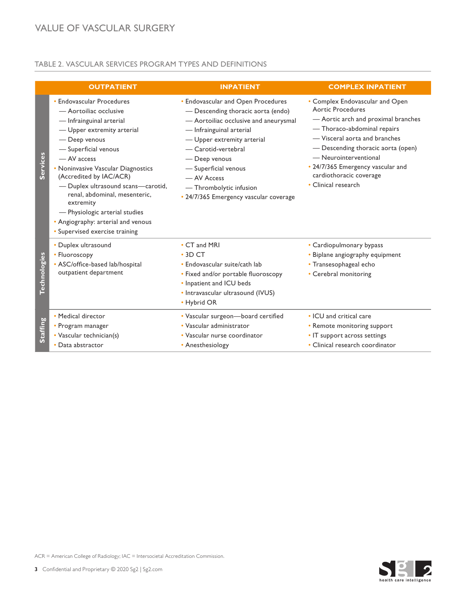#### TABLE 2. VASCULAR SERVICES PROGRAM TYPES AND DEFINITIONS

|                     | <b>OUTPATIENT</b>                                                                                                                                                                                                                                                                                                                                                                                                                    | <b>INPATIENT</b>                                                                                                                                                                                                                                                                                                                | <b>COMPLEX INPATIENT</b>                                                                                                                                                                                                                                                                                                 |
|---------------------|--------------------------------------------------------------------------------------------------------------------------------------------------------------------------------------------------------------------------------------------------------------------------------------------------------------------------------------------------------------------------------------------------------------------------------------|---------------------------------------------------------------------------------------------------------------------------------------------------------------------------------------------------------------------------------------------------------------------------------------------------------------------------------|--------------------------------------------------------------------------------------------------------------------------------------------------------------------------------------------------------------------------------------------------------------------------------------------------------------------------|
| Services            | • Endovascular Procedures<br>- Aortoiliac occlusive<br>- Infrainguinal arterial<br>- Upper extremity arterial<br>- Deep venous<br>- Superficial venous<br>- AV access<br>• Noninvasive Vascular Diagnostics<br>(Accredited by IAC/ACR)<br>- Duplex ultrasound scans-carotid,<br>renal, abdominal, mesenteric,<br>extremity<br>- Physiologic arterial studies<br>• Angiography: arterial and venous<br>• Supervised exercise training | • Endovascular and Open Procedures<br>- Descending thoracic aorta (endo)<br>- Aortoiliac occlusive and aneurysmal<br>- Infrainguinal arterial<br>- Upper extremity arterial<br>- Carotid-vertebral<br>- Deep venous<br>- Superficial venous<br>- AV Access<br>- Thrombolytic infusion<br>• 24/7/365 Emergency vascular coverage | • Complex Endovascular and Open<br><b>Aortic Procedures</b><br>- Aortic arch and proximal branches<br>- Thoraco-abdominal repairs<br>- Visceral aorta and branches<br>- Descending thoracic aorta (open)<br>- Neurointerventional<br>• 24/7/365 Emergency vascular and<br>cardiothoracic coverage<br>• Clinical research |
| <b>Technologies</b> | • Duplex ultrasound<br>• Fluoroscopy<br>• ASC/office-based lab/hospital<br>outpatient department                                                                                                                                                                                                                                                                                                                                     | • CT and MRI<br>$\cdot$ 3D CT<br>• Endovascular suite/cath lab<br>• Fixed and/or portable fluoroscopy<br>• Inpatient and ICU beds<br>• Intravascular ultrasound (IVUS)<br>• Hybrid OR                                                                                                                                           | • Cardiopulmonary bypass<br>• Biplane angiography equipment<br>· Transesophageal echo<br>• Cerebral monitoring                                                                                                                                                                                                           |
| <b>Staffing</b>     | • Medical director<br>• Program manager<br>• Vascular technician(s)<br>• Data abstractor                                                                                                                                                                                                                                                                                                                                             | · Vascular surgeon-board certified<br>• Vascular administrator<br>• Vascular nurse coordinator<br>• Anesthesiology                                                                                                                                                                                                              | • ICU and critical care<br>• Remote monitoring support<br>• IT support across settings<br>• Clinical research coordinator                                                                                                                                                                                                |

 $\mathbf{S}$ 2 health care intelligence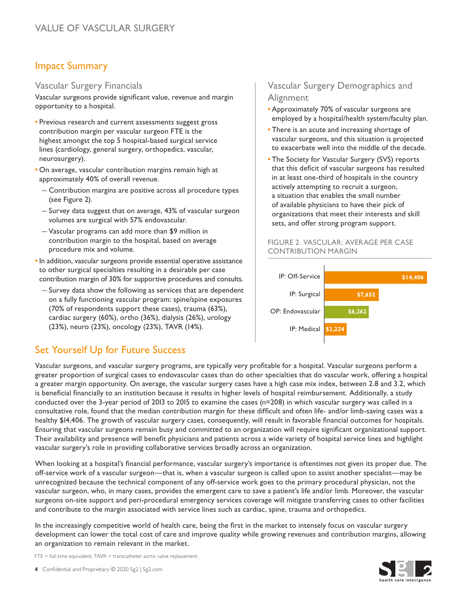### Impact Summary

#### Vascular Surgery Financials

Vascular surgeons provide significant value, revenue and margin opportunity to a hospital.

- **•** Previous research and current assessments suggest gross contribution margin per vascular surgeon FTE is the highest amongst the top 5 hospital-based surgical service lines (cardiology, general surgery, orthopedics, vascular, neurosurgery).
- **•** On average, vascular contribution margins remain high at approximately 40% of overall revenue.
	- Contribution margins are positive across all procedure types (see Figure 2).
	- Survey data suggest that on average, 43% of vascular surgeon volumes are surgical with 57% endovascular.
	- Vascular programs can add more than \$9 million in contribution margin to the hospital, based on average procedure mix and volume.
- **•** In addition, vascular surgeons provide essential operative assistance to other surgical specialties resulting in a desirable per case contribution margin of 30% for supportive procedures and consults.
	- Survey data show the following as services that are dependent on a fully functioning vascular program: spine/spine exposures (70% of respondents support these cases), trauma (63%), cardiac surgery (60%), ortho (36%), dialysis (26%), urology (23%), neuro (23%), oncology (23%), TAVR (14%).

## Set Yourself Up for Future Success

Vascular surgeons, and vascular surgery programs, are typically very profitable for a hospital. Vascular surgeons perform a greater proportion of surgical cases to endovascular cases than do other specialties that do vascular work, offering a hospital a greater margin opportunity. On average, the vascular surgery cases have a high case mix index, between 2.8 and 3.2, which is beneficial financially to an institution because it results in higher levels of hospital reimbursement. Additionally, a study conducted over the 3-year period of 2013 to 2015 to examine the cases (n=208) in which vascular surgery was called in a consultative role, found that the median contribution margin for these difficult and often life- and/or limb-saving cases was a healthy \$14,406. The growth of vascular surgery cases, consequently, will result in favorable financial outcomes for hospitals. Ensuring that vascular surgeons remain busy and committed to an organization will require significant organizational support. Their availability and presence will benefit physicians and patients across a wide variety of hospital service lines and highlight vascular surgery's role in providing collaborative services broadly across an organization.

When looking at a hospital's financial performance, vascular surgery's importance is oftentimes not given its proper due. The off-service work of a vascular surgeon—that is, when a vascular surgeon is called upon to assist another specialist—may be unrecognized because the technical component of any off-service work goes to the primary procedural physician, not the vascular surgeon, who, in many cases, provides the emergent care to save a patient's life and/or limb. Moreover, the vascular surgeons on-site support and peri-procedural emergency services coverage will mitigate transferring cases to other facilities and contribute to the margin associated with service lines such as cardiac, spine, trauma and orthopedics.

In the increasingly competitive world of health care, being the first in the market to intensely focus on vascular surgery development can lower the total cost of care and improve quality while growing revenues and contribution margins, allowing an organization to remain relevant in the market.

FTE = full-time equivalent; TAVR = transcatheter aortic valve replacement.

#### Vascular Surgery Demographics and **Alignment**

- **•** Approximately 70% of vascular surgeons are employed by a hospital/health system/faculty plan.
- **•** There is an acute and increasing shortage of vascular surgeons, and this situation is projected to exacerbate well into the middle of the decade.
- **•** The Society for Vascular Surgery (SVS) reports that this deficit of vascular surgeons has resulted in at least one-third of hospitals in the country actively attempting to recruit a surgeon, a situation that enables the small number of available physicians to have their pick of organizations that meet their interests and skill sets, and offer strong program support.

#### FIGURE 2. VASCULAR: AVERAGE PER CASE CONTRIBUTION MARGIN



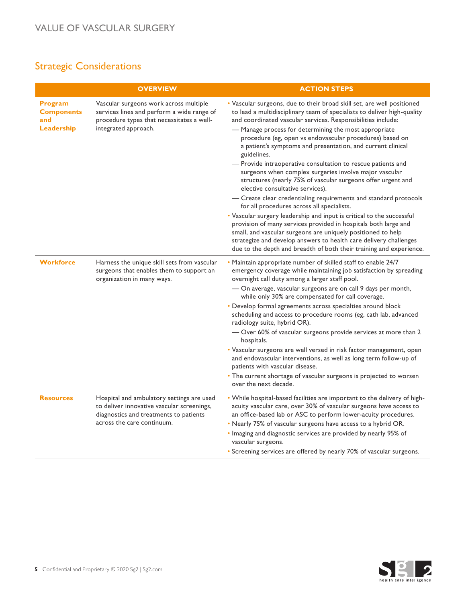## Strategic Considerations

|                                                   | <b>OVERVIEW</b>                                                                                                                                                 | <b>ACTION STEPS</b>                                                                                                                                                                                                                                                                                                                                                                                                                                                                                                                                                                                                                                                                                                                                                                                                                                                                                                                                                                                                                                                                                                          |
|---------------------------------------------------|-----------------------------------------------------------------------------------------------------------------------------------------------------------------|------------------------------------------------------------------------------------------------------------------------------------------------------------------------------------------------------------------------------------------------------------------------------------------------------------------------------------------------------------------------------------------------------------------------------------------------------------------------------------------------------------------------------------------------------------------------------------------------------------------------------------------------------------------------------------------------------------------------------------------------------------------------------------------------------------------------------------------------------------------------------------------------------------------------------------------------------------------------------------------------------------------------------------------------------------------------------------------------------------------------------|
| Program<br><b>Components</b><br>and<br>Leadership | Vascular surgeons work across multiple<br>services lines and perform a wide range of<br>procedure types that necessitates a well-<br>integrated approach.       | . Vascular surgeons, due to their broad skill set, are well positioned<br>to lead a multidisciplinary team of specialists to deliver high-quality<br>and coordinated vascular services. Responsibilities include:<br>- Manage process for determining the most appropriate<br>procedure (eg, open vs endovascular procedures) based on<br>a patient's symptoms and presentation, and current clinical<br>guidelines.<br>- Provide intraoperative consultation to rescue patients and<br>surgeons when complex surgeries involve major vascular<br>structures (nearly 75% of vascular surgeons offer urgent and<br>elective consultative services).<br>- Create clear credentialing requirements and standard protocols<br>for all procedures across all specialists.<br>• Vascular surgery leadership and input is critical to the successful<br>provision of many services provided in hospitals both large and<br>small, and vascular surgeons are uniquely positioned to help<br>strategize and develop answers to health care delivery challenges<br>due to the depth and breadth of both their training and experience. |
| <b>Workforce</b>                                  | Harness the unique skill sets from vascular<br>surgeons that enables them to support an<br>organization in many ways.                                           | • Maintain appropriate number of skilled staff to enable 24/7<br>emergency coverage while maintaining job satisfaction by spreading<br>overnight call duty among a larger staff pool.<br>- On average, vascular surgeons are on call 9 days per month,<br>while only 30% are compensated for call coverage.<br>• Develop formal agreements across specialties around block<br>scheduling and access to procedure rooms (eg, cath lab, advanced<br>radiology suite, hybrid OR).<br>- Over 60% of vascular surgeons provide services at more than 2<br>hospitals.<br>• Vascular surgeons are well versed in risk factor management, open<br>and endovascular interventions, as well as long term follow-up of<br>patients with vascular disease.<br>• The current shortage of vascular surgeons is projected to worsen<br>over the next decade.                                                                                                                                                                                                                                                                                |
| <b>Resources</b>                                  | Hospital and ambulatory settings are used<br>to deliver innovative vascular screenings,<br>diagnostics and treatments to patients<br>across the care continuum. | . While hospital-based facilities are important to the delivery of high-<br>acuity vascular care, over 30% of vascular surgeons have access to<br>an office-based lab or ASC to perform lower-acuity procedures.<br>. Nearly 75% of vascular surgeons have access to a hybrid OR.<br>. Imaging and diagnostic services are provided by nearly 95% of<br>vascular surgeons.<br>• Screening services are offered by nearly 70% of vascular surgeons.                                                                                                                                                                                                                                                                                                                                                                                                                                                                                                                                                                                                                                                                           |